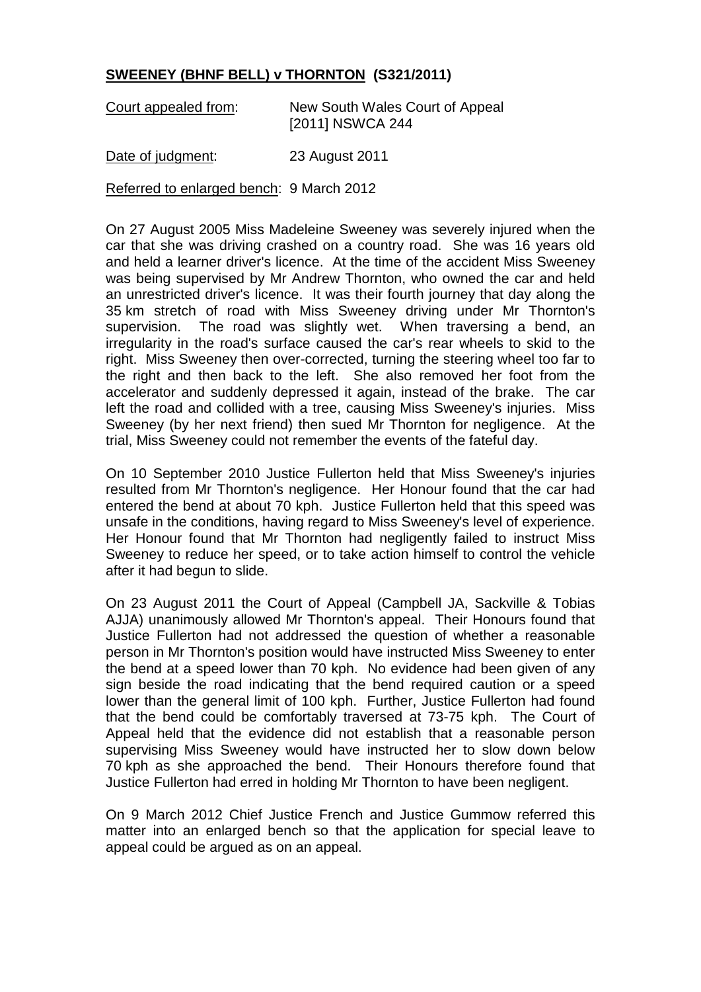## **SWEENEY (BHNF BELL) v THORNTON (S321/2011)**

| Court appealed from: | New South Wales Court of Appeal |
|----------------------|---------------------------------|
|                      | [2011] NSWCA 244                |

Date of judgment: 23 August 2011

Referred to enlarged bench: 9 March 2012

On 27 August 2005 Miss Madeleine Sweeney was severely injured when the car that she was driving crashed on a country road. She was 16 years old and held a learner driver's licence. At the time of the accident Miss Sweeney was being supervised by Mr Andrew Thornton, who owned the car and held an unrestricted driver's licence. It was their fourth journey that day along the 35 km stretch of road with Miss Sweeney driving under Mr Thornton's supervision. The road was slightly wet. When traversing a bend, an irregularity in the road's surface caused the car's rear wheels to skid to the right. Miss Sweeney then over-corrected, turning the steering wheel too far to the right and then back to the left. She also removed her foot from the accelerator and suddenly depressed it again, instead of the brake. The car left the road and collided with a tree, causing Miss Sweeney's injuries. Miss Sweeney (by her next friend) then sued Mr Thornton for negligence. At the trial, Miss Sweeney could not remember the events of the fateful day.

On 10 September 2010 Justice Fullerton held that Miss Sweeney's injuries resulted from Mr Thornton's negligence. Her Honour found that the car had entered the bend at about 70 kph. Justice Fullerton held that this speed was unsafe in the conditions, having regard to Miss Sweeney's level of experience. Her Honour found that Mr Thornton had negligently failed to instruct Miss Sweeney to reduce her speed, or to take action himself to control the vehicle after it had begun to slide.

On 23 August 2011 the Court of Appeal (Campbell JA, Sackville & Tobias AJJA) unanimously allowed Mr Thornton's appeal. Their Honours found that Justice Fullerton had not addressed the question of whether a reasonable person in Mr Thornton's position would have instructed Miss Sweeney to enter the bend at a speed lower than 70 kph. No evidence had been given of any sign beside the road indicating that the bend required caution or a speed lower than the general limit of 100 kph. Further, Justice Fullerton had found that the bend could be comfortably traversed at 73-75 kph. The Court of Appeal held that the evidence did not establish that a reasonable person supervising Miss Sweeney would have instructed her to slow down below 70 kph as she approached the bend. Their Honours therefore found that Justice Fullerton had erred in holding Mr Thornton to have been negligent.

On 9 March 2012 Chief Justice French and Justice Gummow referred this matter into an enlarged bench so that the application for special leave to appeal could be argued as on an appeal.